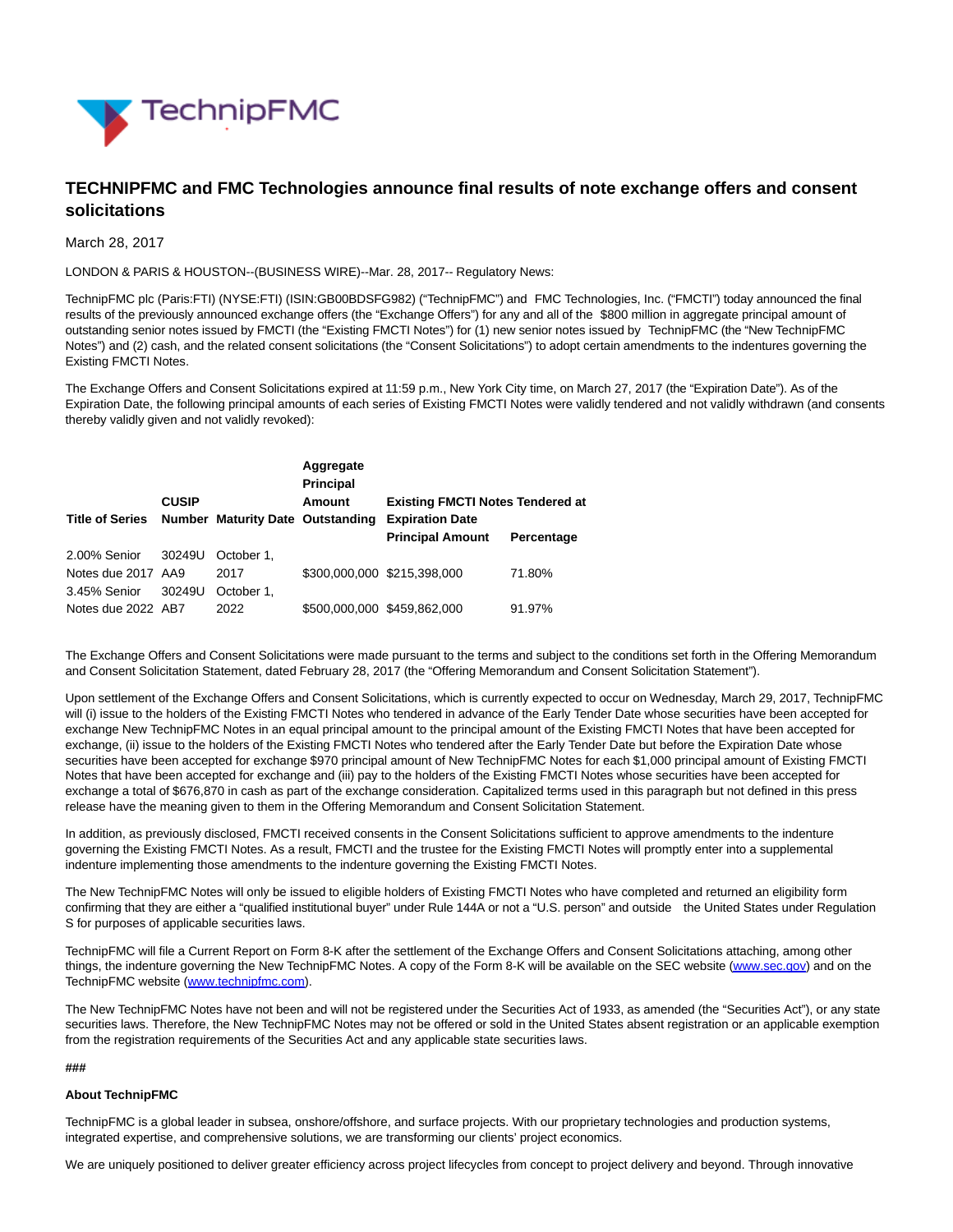

# **TECHNIPFMC and FMC Technologies announce final results of note exchange offers and consent solicitations**

March 28, 2017

LONDON & PARIS & HOUSTON--(BUSINESS WIRE)--Mar. 28, 2017-- Regulatory News:

TechnipFMC plc (Paris:FTI) (NYSE:FTI) (ISIN:GB00BDSFG982) ("TechnipFMC") and FMC Technologies, Inc. ("FMCTI") today announced the final results of the previously announced exchange offers (the "Exchange Offers") for any and all of the \$800 million in aggregate principal amount of outstanding senior notes issued by FMCTI (the "Existing FMCTI Notes") for (1) new senior notes issued by TechnipFMC (the "New TechnipFMC Notes") and (2) cash, and the related consent solicitations (the "Consent Solicitations") to adopt certain amendments to the indentures governing the Existing FMCTI Notes.

The Exchange Offers and Consent Solicitations expired at 11:59 p.m., New York City time, on March 27, 2017 (the "Expiration Date"). As of the Expiration Date, the following principal amounts of each series of Existing FMCTI Notes were validly tendered and not validly withdrawn (and consents thereby validly given and not validly revoked):

|                                                  |              |            | Aggregate<br><b>Principal</b> |                                         |            |
|--------------------------------------------------|--------------|------------|-------------------------------|-----------------------------------------|------------|
|                                                  | <b>CUSIP</b> |            | Amount                        | <b>Existing FMCTI Notes Tendered at</b> |            |
| Title of Series Number Maturity Date Outstanding |              |            |                               | <b>Expiration Date</b>                  |            |
|                                                  |              |            |                               | <b>Principal Amount</b>                 | Percentage |
| 2.00% Senior                                     | 30249U       | October 1. |                               |                                         |            |
| Notes due 2017 AA9                               |              | 2017       |                               | \$300,000,000 \$215,398,000             | 71.80%     |
| 3.45% Senior                                     | 30249U       | October 1. |                               |                                         |            |
| Notes due 2022 AB7                               |              | 2022       |                               | \$500,000,000 \$459,862,000             | 91.97%     |

The Exchange Offers and Consent Solicitations were made pursuant to the terms and subject to the conditions set forth in the Offering Memorandum and Consent Solicitation Statement, dated February 28, 2017 (the "Offering Memorandum and Consent Solicitation Statement").

Upon settlement of the Exchange Offers and Consent Solicitations, which is currently expected to occur on Wednesday, March 29, 2017, TechnipFMC will (i) issue to the holders of the Existing FMCTI Notes who tendered in advance of the Early Tender Date whose securities have been accepted for exchange New TechnipFMC Notes in an equal principal amount to the principal amount of the Existing FMCTI Notes that have been accepted for exchange, (ii) issue to the holders of the Existing FMCTI Notes who tendered after the Early Tender Date but before the Expiration Date whose securities have been accepted for exchange \$970 principal amount of New TechnipFMC Notes for each \$1,000 principal amount of Existing FMCTI Notes that have been accepted for exchange and (iii) pay to the holders of the Existing FMCTI Notes whose securities have been accepted for exchange a total of \$676,870 in cash as part of the exchange consideration. Capitalized terms used in this paragraph but not defined in this press release have the meaning given to them in the Offering Memorandum and Consent Solicitation Statement.

In addition, as previously disclosed, FMCTI received consents in the Consent Solicitations sufficient to approve amendments to the indenture governing the Existing FMCTI Notes. As a result, FMCTI and the trustee for the Existing FMCTI Notes will promptly enter into a supplemental indenture implementing those amendments to the indenture governing the Existing FMCTI Notes.

The New TechnipFMC Notes will only be issued to eligible holders of Existing FMCTI Notes who have completed and returned an eligibility form confirming that they are either a "qualified institutional buyer" under Rule 144A or not a "U.S. person" and outside the United States under Regulation S for purposes of applicable securities laws.

TechnipFMC will file a Current Report on Form 8-K after the settlement of the Exchange Offers and Consent Solicitations attaching, among other things, the indenture governing the New TechnipFMC Notes. A copy of the Form 8-K will be available on the SEC website [\(www.sec.gov\)](http://cts.businesswire.com/ct/CT?id=smartlink&url=http%3A%2F%2Fwww.sec.gov&esheet=51532161&newsitemid=20170327006335&lan=en-US&anchor=www.sec.gov&index=1&md5=b4cd66ed7b5842759f91816517c6a8fb) and on the TechnipFMC website [\(www.technipfmc.com\).](http://cts.businesswire.com/ct/CT?id=smartlink&url=http%3A%2F%2Fwww.technipfmc.com&esheet=51532161&newsitemid=20170327006335&lan=en-US&anchor=www.technipfmc.com&index=2&md5=a682d45baa128c4e4f2641283ec10834)

The New TechnipFMC Notes have not been and will not be registered under the Securities Act of 1933, as amended (the "Securities Act"), or any state securities laws. Therefore, the New TechnipFMC Notes may not be offered or sold in the United States absent registration or an applicable exemption from the registration requirements of the Securities Act and any applicable state securities laws.

## **###**

## **About TechnipFMC**

TechnipFMC is a global leader in subsea, onshore/offshore, and surface projects. With our proprietary technologies and production systems, integrated expertise, and comprehensive solutions, we are transforming our clients' project economics.

We are uniquely positioned to deliver greater efficiency across project lifecycles from concept to project delivery and beyond. Through innovative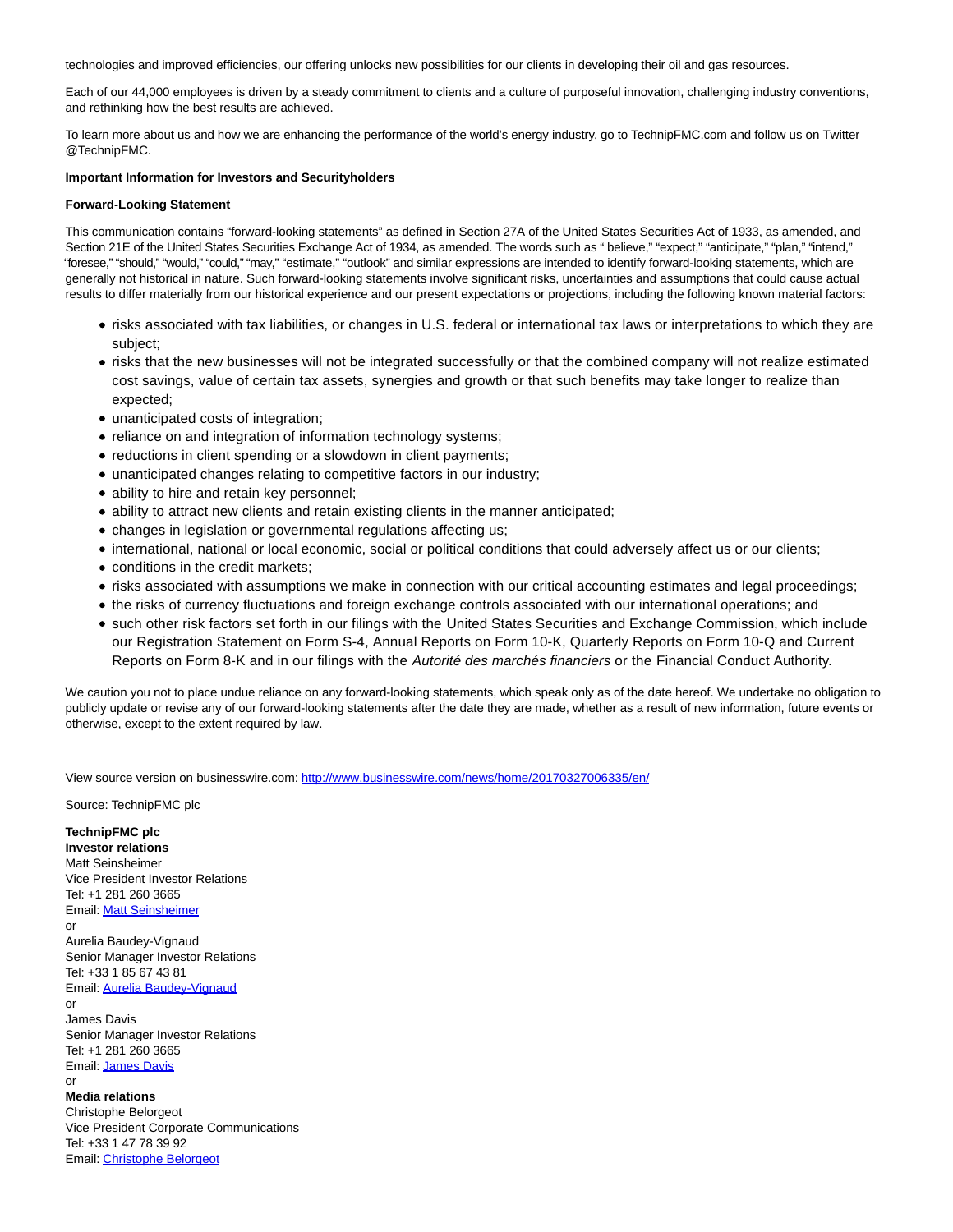technologies and improved efficiencies, our offering unlocks new possibilities for our clients in developing their oil and gas resources.

Each of our 44,000 employees is driven by a steady commitment to clients and a culture of purposeful innovation, challenging industry conventions, and rethinking how the best results are achieved.

To learn more about us and how we are enhancing the performance of the world's energy industry, go to TechnipFMC.com and follow us on Twitter @TechnipFMC.

# **Important Information for Investors and Securityholders**

### **Forward-Looking Statement**

This communication contains "forward-looking statements" as defined in Section 27A of the United States Securities Act of 1933, as amended, and Section 21E of the United States Securities Exchange Act of 1934, as amended. The words such as "believe," "expect," "anticipate," "plan," "intend," "foresee," "should," "would," "could," "may," "estimate," "outlook" and similar expressions are intended to identify forward-looking statements, which are generally not historical in nature. Such forward-looking statements involve significant risks, uncertainties and assumptions that could cause actual results to differ materially from our historical experience and our present expectations or projections, including the following known material factors:

- risks associated with tax liabilities, or changes in U.S. federal or international tax laws or interpretations to which they are subject;
- risks that the new businesses will not be integrated successfully or that the combined company will not realize estimated cost savings, value of certain tax assets, synergies and growth or that such benefits may take longer to realize than expected;
- unanticipated costs of integration;
- reliance on and integration of information technology systems;
- reductions in client spending or a slowdown in client payments;
- unanticipated changes relating to competitive factors in our industry;
- ability to hire and retain key personnel;
- ability to attract new clients and retain existing clients in the manner anticipated;
- changes in legislation or governmental regulations affecting us;
- international, national or local economic, social or political conditions that could adversely affect us or our clients;
- conditions in the credit markets;
- risks associated with assumptions we make in connection with our critical accounting estimates and legal proceedings;
- the risks of currency fluctuations and foreign exchange controls associated with our international operations; and
- such other risk factors set forth in our filings with the United States Securities and Exchange Commission, which include our Registration Statement on Form S-4, Annual Reports on Form 10-K, Quarterly Reports on Form 10-Q and Current Reports on Form 8-K and in our filings with the Autorité des marchés financiers or the Financial Conduct Authority.

We caution you not to place undue reliance on any forward-looking statements, which speak only as of the date hereof. We undertake no obligation to publicly update or revise any of our forward-looking statements after the date they are made, whether as a result of new information, future events or otherwise, except to the extent required by law.

View source version on businesswire.com:<http://www.businesswire.com/news/home/20170327006335/en/>

Source: TechnipFMC plc

### **TechnipFMC plc**

**Investor relations** Matt Seinsheimer Vice President Investor Relations Tel: +1 281 260 3665 Email[: Matt Seinsheimer](mailto:InvestorRelations@TechnipFMC.com) or Aurelia Baudey-Vignaud Senior Manager Investor Relations Tel: +33 1 85 67 43 81 Email[: Aurelia Baudey-Vignaud](mailto:InvestorRelations@TechnipFMC.com) or James Davis Senior Manager Investor Relations Tel: +1 281 260 3665 Email[: James Davis](mailto:InvestorRelations@TechnipFMC.com) or

**Media relations** Christophe Belorgeot Vice President Corporate Communications Tel: +33 1 47 78 39 92 Email[: Christophe Belorgeot](mailto:media@TechnipFMC.com)